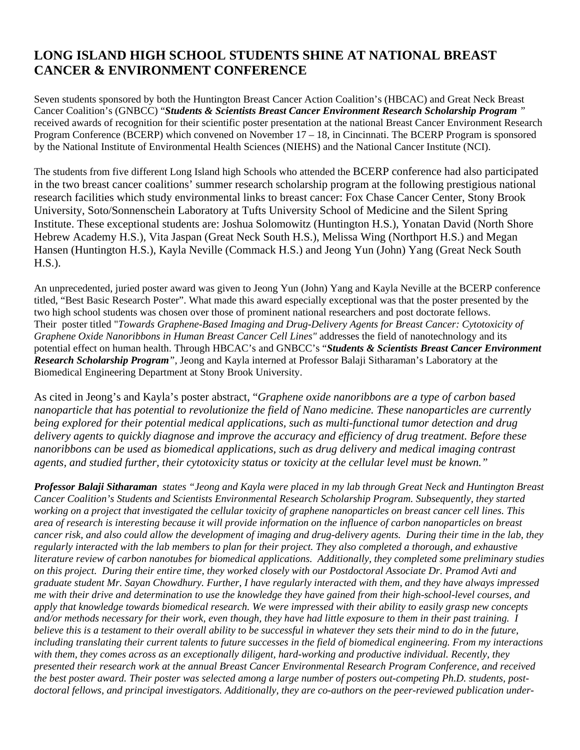## **LONG ISLAND HIGH SCHOOL STUDENTS SHINE AT NATIONAL BREAST CANCER & ENVIRONMENT CONFERENCE**

Seven students sponsored by both the Huntington Breast Cancer Action Coalition's (HBCAC) and Great Neck Breast Cancer Coalition's (GNBCC) "*Students & Scientists Breast Cancer Environment Research Scholarship Program "*  received awards of recognition for their scientific poster presentation at the national Breast Cancer Environment Research Program Conference (BCERP) which convened on November 17 – 18, in Cincinnati. The BCERP Program is sponsored by the National Institute of Environmental Health Sciences (NIEHS) and the National Cancer Institute (NCI).

The students from five different Long Island high Schools who attended the BCERP conference had also participated in the two breast cancer coalitions' summer research scholarship program at the following prestigious national research facilities which study environmental links to breast cancer: Fox Chase Cancer Center, Stony Brook University, Soto/Sonnenschein Laboratory at Tufts University School of Medicine and the Silent Spring Institute. These exceptional students are: Joshua Solomowitz (Huntington H.S.), Yonatan David (North Shore Hebrew Academy H.S.), Vita Jaspan (Great Neck South H.S.), Melissa Wing (Northport H.S.) and Megan Hansen (Huntington H.S.), Kayla Neville (Commack H.S.) and Jeong Yun (John) Yang (Great Neck South H.S.).

An unprecedented, juried poster award was given to Jeong Yun (John) Yang and Kayla Neville at the BCERP conference titled, "Best Basic Research Poster". What made this award especially exceptional was that the poster presented by the two high school students was chosen over those of prominent national researchers and post doctorate fellows. Their poster titled "*Towards Graphene-Based Imaging and Drug-Delivery Agents for Breast Cancer: Cytotoxicity of Graphene Oxide Nanoribbons in Human Breast Cancer Cell Lines"* addresses the field of nanotechnology and its potential effect on human health. Through HBCAC's and GNBCC's "*Students & Scientists Breast Cancer Environment Research Scholarship Program"*, Jeong and Kayla interned at Professor Balaji Sitharaman's Laboratory at the Biomedical Engineering Department at Stony Brook University.

As cited in Jeong's and Kayla's poster abstract, "*Graphene oxide nanoribbons are a type of carbon based nanoparticle that has potential to revolutionize the field of Nano medicine. These nanoparticles are currently being explored for their potential medical applications, such as multi-functional tumor detection and drug delivery agents to quickly diagnose and improve the accuracy and efficiency of drug treatment. Before these nanoribbons can be used as biomedical applications, such as drug delivery and medical imaging contrast agents, and studied further, their cytotoxicity status or toxicity at the cellular level must be known."*

*Professor Balaji Sitharaman states "Jeong and Kayla were placed in my lab through Great Neck and Huntington Breast Cancer Coalition's Students and Scientists Environmental Research Scholarship Program. Subsequently, they started working on a project that investigated the cellular toxicity of graphene nanoparticles on breast cancer cell lines. This area of research is interesting because it will provide information on the influence of carbon nanoparticles on breast cancer risk, and also could allow the development of imaging and drug-delivery agents. During their time in the lab, they regularly interacted with the lab members to plan for their project. They also completed a thorough, and exhaustive literature review of carbon nanotubes for biomedical applications. Additionally, they completed some preliminary studies on this project. During their entire time, they worked closely with our Postdoctoral Associate Dr. Pramod Avti and graduate student Mr. Sayan Chowdhury. Further, I have regularly interacted with them, and they have always impressed me with their drive and determination to use the knowledge they have gained from their high-school-level courses, and apply that knowledge towards biomedical research. We were impressed with their ability to easily grasp new concepts and/or methods necessary for their work, even though, they have had little exposure to them in their past training. I believe this is a testament to their overall ability to be successful in whatever they sets their mind to do in the future, including translating their current talents to future successes in the field of biomedical engineering. From my interactions with them, they comes across as an exceptionally diligent, hard-working and productive individual. Recently, they presented their research work at the annual Breast Cancer Environmental Research Program Conference, and received the best poster award. Their poster was selected among a large number of posters out-competing Ph.D. students, postdoctoral fellows, and principal investigators. Additionally, they are co-authors on the peer-reviewed publication under-*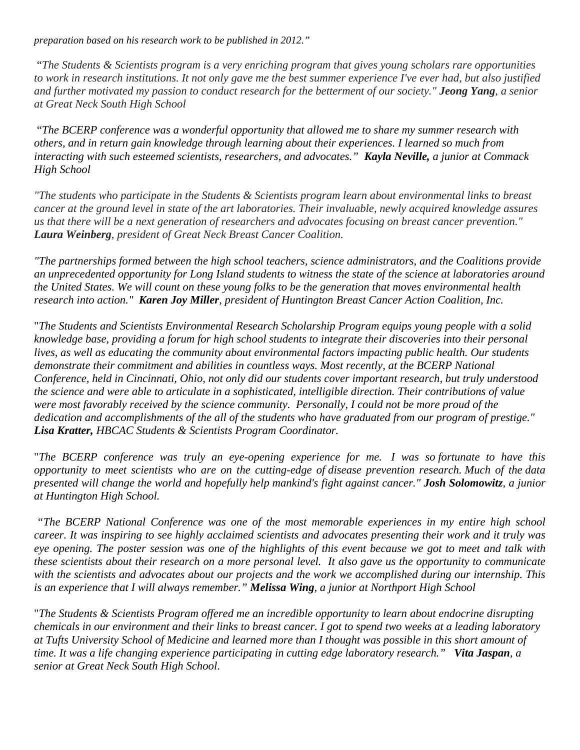*preparation based on his research work to be published in 2012."* 

 "*The Students & Scientists program is a very enriching program that gives young scholars rare opportunities to work in research institutions. It not only gave me the best summer experience I've ever had, but also justified and further motivated my passion to conduct research for the betterment of our society." Jeong Yang, a senior at Great Neck South High School* 

"*The BCERP conference was a wonderful opportunity that allowed me to share my summer research with others, and in return gain knowledge through learning about their experiences. I learned so much from interacting with such esteemed scientists, researchers, and advocates." Kayla Neville, a junior at Commack High School* 

*"The students who participate in the Students & Scientists program learn about environmental links to breast cancer at the ground level in state of the art laboratories. Their invaluable, newly acquired knowledge assures us that there will be a next generation of researchers and advocates focusing on breast cancer prevention." Laura Weinberg, president of Great Neck Breast Cancer Coalition.*

*"The partnerships formed between the high school teachers, science administrators, and the Coalitions provide an unprecedented opportunity for Long Island students to witness the state of the science at laboratories around the United States. We will count on these young folks to be the generation that moves environmental health research into action." Karen Joy Miller, president of Huntington Breast Cancer Action Coalition, Inc.* 

"*The Students and Scientists Environmental Research Scholarship Program equips young people with a solid knowledge base, providing a forum for high school students to integrate their discoveries into their personal lives, as well as educating the community about environmental factors impacting public health. Our students demonstrate their commitment and abilities in countless ways. Most recently, at the BCERP National Conference, held in Cincinnati, Ohio, not only did our students cover important research, but truly understood the science and were able to articulate in a sophisticated, intelligible direction. Their contributions of value were most favorably received by the science community. Personally, I could not be more proud of the dedication and accomplishments of the all of the students who have graduated from our program of prestige." Lisa Kratter, HBCAC Students & Scientists Program Coordinator.*

"*The BCERP conference was truly an eye-opening experience for me. I was so fortunate to have this opportunity to meet scientists who are on the cutting-edge of disease prevention research. Much of the data presented will change the world and hopefully help mankind's fight against cancer." Josh Solomowitz, a junior at Huntington High School.* 

*"The BCERP National Conference was one of the most memorable experiences in my entire high school career. It was inspiring to see highly acclaimed scientists and advocates presenting their work and it truly was eye opening. The poster session was one of the highlights of this event because we got to meet and talk with these scientists about their research on a more personal level. It also gave us the opportunity to communicate with the scientists and advocates about our projects and the work we accomplished during our internship. This is an experience that I will always remember." Melissa Wing, a junior at Northport High School*

"*The Students & Scientists Program offered me an incredible opportunity to learn about endocrine disrupting chemicals in our environment and their links to breast cancer. I got to spend two weeks at a leading laboratory at Tufts University School of Medicine and learned more than I thought was possible in this short amount of time. It was a life changing experience participating in cutting edge laboratory research." Vita Jaspan, a senior at Great Neck South High School*.